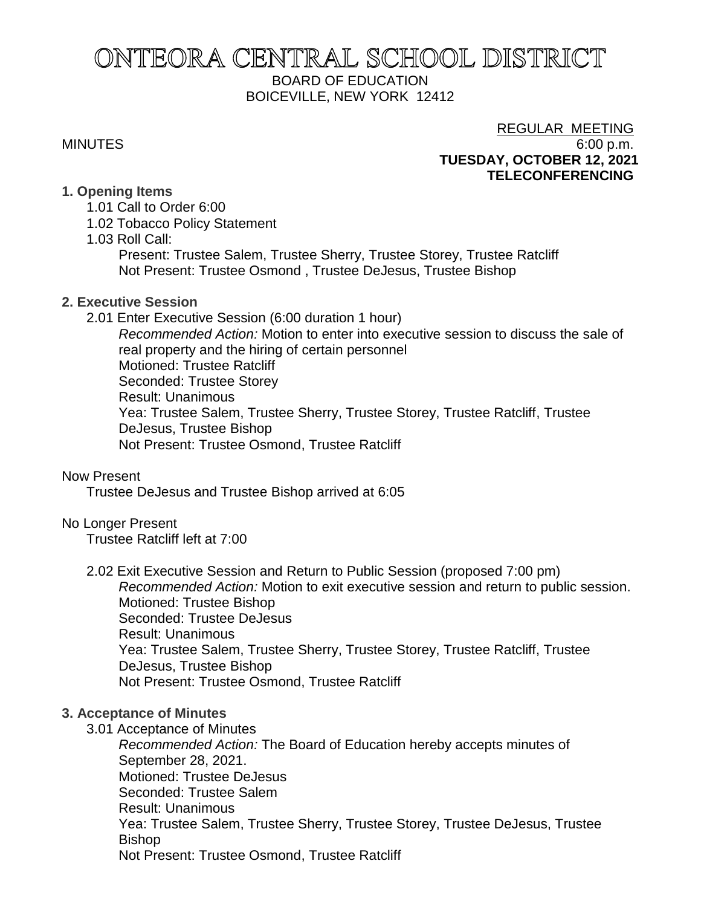# ONTEORA CENTRAL SCHOOL DISTRICT BOARD OF EDUCATION BOICEVILLE, NEW YORK 12412

## REGULAR MEETING MINUTES 6:00 p.m. **TUESDAY, OCTOBER 12, 2021 TELECONFERENCING**

## **1. Opening Items**

- 1.01 Call to Order 6:00
- 1.02 Tobacco Policy Statement
- 1.03 Roll Call:

Present: Trustee Salem, Trustee Sherry, Trustee Storey, Trustee Ratcliff Not Present: Trustee Osmond , Trustee DeJesus, Trustee Bishop

## **2. Executive Session**

2.01 Enter Executive Session (6:00 duration 1 hour)

*Recommended Action:* Motion to enter into executive session to discuss the sale of real property and the hiring of certain personnel Motioned: Trustee Ratcliff Seconded: Trustee Storey Result: Unanimous Yea: Trustee Salem, Trustee Sherry, Trustee Storey, Trustee Ratcliff, Trustee DeJesus, Trustee Bishop Not Present: Trustee Osmond, Trustee Ratcliff

## Now Present

Trustee DeJesus and Trustee Bishop arrived at 6:05

## No Longer Present

Trustee Ratcliff left at 7:00

2.02 Exit Executive Session and Return to Public Session (proposed 7:00 pm) *Recommended Action:* Motion to exit executive session and return to public session. Motioned: Trustee Bishop Seconded: Trustee DeJesus Result: Unanimous Yea: Trustee Salem, Trustee Sherry, Trustee Storey, Trustee Ratcliff, Trustee DeJesus, Trustee Bishop Not Present: Trustee Osmond, Trustee Ratcliff

## **3. Acceptance of Minutes**

3.01 Acceptance of Minutes

*Recommended Action:* The Board of Education hereby accepts minutes of September 28, 2021. Motioned: Trustee DeJesus Seconded: Trustee Salem Result: Unanimous Yea: Trustee Salem, Trustee Sherry, Trustee Storey, Trustee DeJesus, Trustee Bishop Not Present: Trustee Osmond, Trustee Ratcliff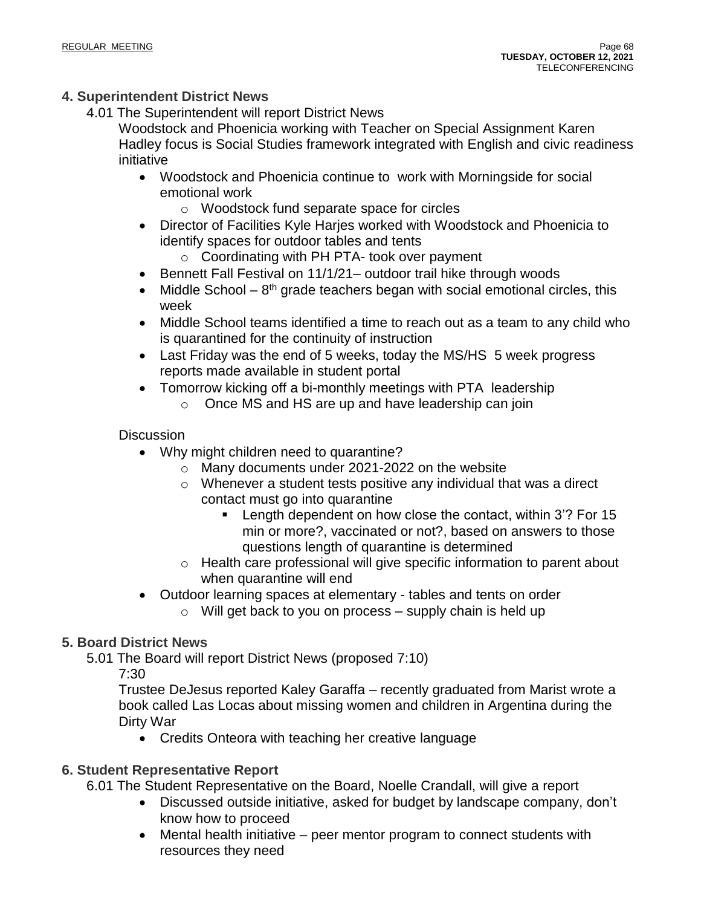## **4. Superintendent District News**

4.01 The Superintendent will report District News

Woodstock and Phoenicia working with Teacher on Special Assignment Karen Hadley focus is Social Studies framework integrated with English and civic readiness initiative

- Woodstock and Phoenicia continue to work with Morningside for social emotional work
	- o Woodstock fund separate space for circles
- Director of Facilities Kyle Harjes worked with Woodstock and Phoenicia to identify spaces for outdoor tables and tents
	- o Coordinating with PH PTA- took over payment
- Bennett Fall Festival on 11/1/21– outdoor trail hike through woods
- Middle School  $-8<sup>th</sup>$  grade teachers began with social emotional circles, this week
- Middle School teams identified a time to reach out as a team to any child who is quarantined for the continuity of instruction
- Last Friday was the end of 5 weeks, today the MS/HS 5 week progress reports made available in student portal
- Tomorrow kicking off a bi-monthly meetings with PTA leadership
	- o Once MS and HS are up and have leadership can join

## **Discussion**

- Why might children need to quarantine?
	- o Many documents under 2021-2022 on the website
	- $\circ$  Whenever a student tests positive any individual that was a direct contact must go into quarantine
		- Length dependent on how close the contact, within 3'? For 15 min or more?, vaccinated or not?, based on answers to those questions length of quarantine is determined
	- o Health care professional will give specific information to parent about when quarantine will end
- Outdoor learning spaces at elementary tables and tents on order
	- $\circ$  Will get back to you on process supply chain is held up

## **5. Board District News**

5.01 The Board will report District News (proposed 7:10) 7:30

Trustee DeJesus reported Kaley Garaffa – recently graduated from Marist wrote a book called Las Locas about missing women and children in Argentina during the Dirty War

• Credits Onteora with teaching her creative language

## **6. Student Representative Report**

6.01 The Student Representative on the Board, Noelle Crandall, will give a report

- Discussed outside initiative, asked for budget by landscape company, don't know how to proceed
- Mental health initiative peer mentor program to connect students with resources they need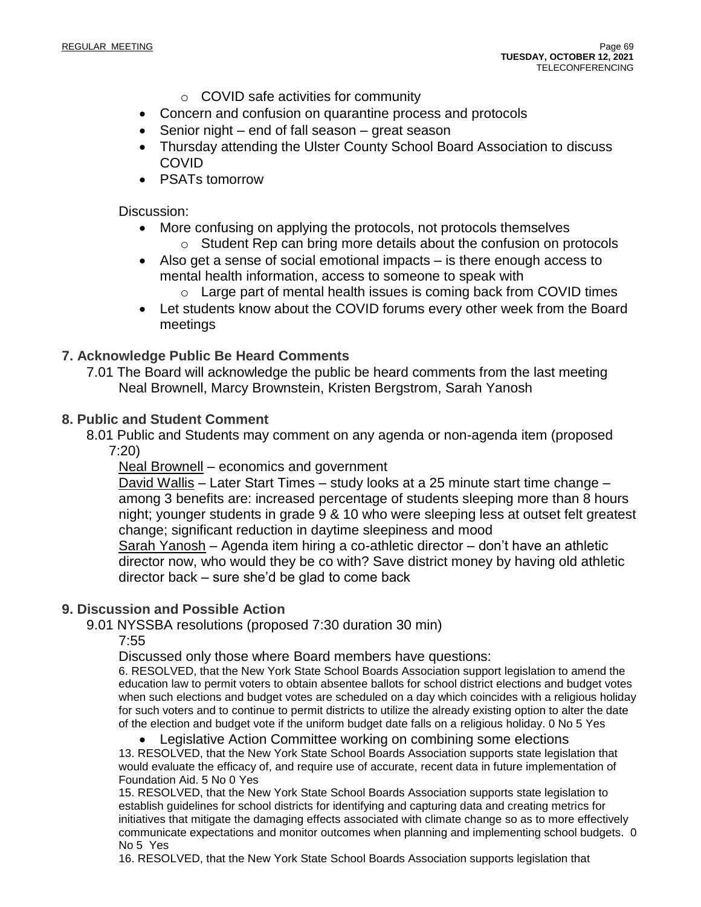- o COVID safe activities for community
- Concern and confusion on quarantine process and protocols
- Senior night end of fall season great season
- Thursday attending the Ulster County School Board Association to discuss COVID
- PSATs tomorrow

Discussion:

- More confusing on applying the protocols, not protocols themselves  $\circ$  Student Rep can bring more details about the confusion on protocols
- Also get a sense of social emotional impacts is there enough access to mental health information, access to someone to speak with
	- $\circ$  Large part of mental health issues is coming back from COVID times
- Let students know about the COVID forums every other week from the Board meetings

## **7. Acknowledge Public Be Heard Comments**

7.01 The Board will acknowledge the public be heard comments from the last meeting Neal Brownell, Marcy Brownstein, Kristen Bergstrom, Sarah Yanosh

### **8. Public and Student Comment**

8.01 Public and Students may comment on any agenda or non-agenda item (proposed 7:20)

Neal Brownell – economics and government

David Wallis – Later Start Times – study looks at a 25 minute start time change – among 3 benefits are: increased percentage of students sleeping more than 8 hours night; younger students in grade 9 & 10 who were sleeping less at outset felt greatest change; significant reduction in daytime sleepiness and mood

Sarah Yanosh – Agenda item hiring a co-athletic director – don't have an athletic director now, who would they be co with? Save district money by having old athletic director back – sure she'd be glad to come back

### **9. Discussion and Possible Action**

9.01 NYSSBA resolutions (proposed 7:30 duration 30 min)

7:55

Discussed only those where Board members have questions:

6. RESOLVED, that the New York State School Boards Association support legislation to amend the education law to permit voters to obtain absentee ballots for school district elections and budget votes when such elections and budget votes are scheduled on a day which coincides with a religious holiday for such voters and to continue to permit districts to utilize the already existing option to alter the date of the election and budget vote if the uniform budget date falls on a religious holiday. 0 No 5 Yes

• Legislative Action Committee working on combining some elections

13. RESOLVED, that the New York State School Boards Association supports state legislation that would evaluate the efficacy of, and require use of accurate, recent data in future implementation of Foundation Aid. 5 No 0 Yes

15. RESOLVED, that the New York State School Boards Association supports state legislation to establish guidelines for school districts for identifying and capturing data and creating metrics for initiatives that mitigate the damaging effects associated with climate change so as to more effectively communicate expectations and monitor outcomes when planning and implementing school budgets. 0 No 5 Yes

16. RESOLVED, that the New York State School Boards Association supports legislation that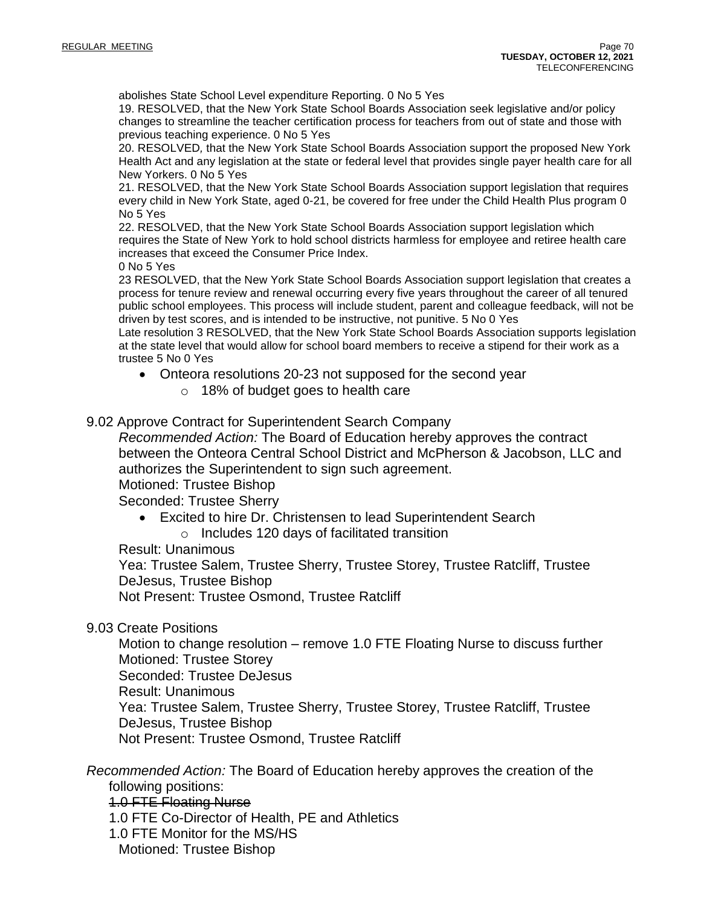abolishes State School Level expenditure Reporting. 0 No 5 Yes

19. RESOLVED, that the New York State School Boards Association seek legislative and/or policy changes to streamline the teacher certification process for teachers from out of state and those with previous teaching experience. 0 No 5 Yes

20. RESOLVED*,* that the New York State School Boards Association support the proposed New York Health Act and any legislation at the state or federal level that provides single payer health care for all New Yorkers. 0 No 5 Yes

21. RESOLVED, that the New York State School Boards Association support legislation that requires every child in New York State, aged 0-21, be covered for free under the Child Health Plus program 0 No 5 Yes

22. RESOLVED, that the New York State School Boards Association support legislation which requires the State of New York to hold school districts harmless for employee and retiree health care increases that exceed the Consumer Price Index.

0 No 5 Yes

23 RESOLVED, that the New York State School Boards Association support legislation that creates a process for tenure review and renewal occurring every five years throughout the career of all tenured public school employees. This process will include student, parent and colleague feedback, will not be driven by test scores, and is intended to be instructive, not punitive. 5 No 0 Yes

Late resolution 3 RESOLVED, that the New York State School Boards Association supports legislation at the state level that would allow for school board members to receive a stipend for their work as a trustee 5 No 0 Yes

- Onteora resolutions 20-23 not supposed for the second year
	- o 18% of budget goes to health care

9.02 Approve Contract for Superintendent Search Company

*Recommended Action:* The Board of Education hereby approves the contract between the Onteora Central School District and McPherson & Jacobson, LLC and authorizes the Superintendent to sign such agreement.

Motioned: Trustee Bishop

Seconded: Trustee Sherry

- Excited to hire Dr. Christensen to lead Superintendent Search
	- o Includes 120 days of facilitated transition

Result: Unanimous

Yea: Trustee Salem, Trustee Sherry, Trustee Storey, Trustee Ratcliff, Trustee DeJesus, Trustee Bishop

Not Present: Trustee Osmond, Trustee Ratcliff

9.03 Create Positions

Motion to change resolution – remove 1.0 FTE Floating Nurse to discuss further Motioned: Trustee Storey Seconded: Trustee DeJesus Result: Unanimous Yea: Trustee Salem, Trustee Sherry, Trustee Storey, Trustee Ratcliff, Trustee DeJesus, Trustee Bishop Not Present: Trustee Osmond, Trustee Ratcliff

*Recommended Action:* The Board of Education hereby approves the creation of the following positions:

1.0 FTE Floating Nurse

- 1.0 FTE Co-Director of Health, PE and Athletics
- 1.0 FTE Monitor for the MS/HS Motioned: Trustee Bishop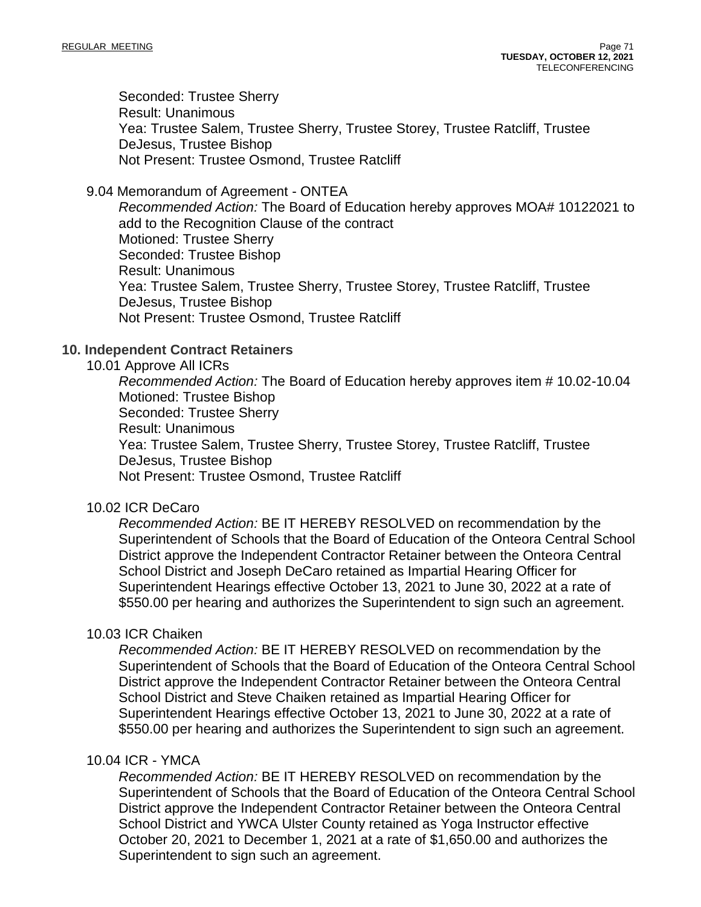Seconded: Trustee Sherry Result: Unanimous Yea: Trustee Salem, Trustee Sherry, Trustee Storey, Trustee Ratcliff, Trustee DeJesus, Trustee Bishop Not Present: Trustee Osmond, Trustee Ratcliff

9.04 Memorandum of Agreement - ONTEA

*Recommended Action:* The Board of Education hereby approves MOA# 10122021 to add to the Recognition Clause of the contract Motioned: Trustee Sherry Seconded: Trustee Bishop Result: Unanimous Yea: Trustee Salem, Trustee Sherry, Trustee Storey, Trustee Ratcliff, Trustee DeJesus, Trustee Bishop Not Present: Trustee Osmond, Trustee Ratcliff

## **10. Independent Contract Retainers**

### 10.01 Approve All ICRs

*Recommended Action:* The Board of Education hereby approves item # 10.02-10.04 Motioned: Trustee Bishop Seconded: Trustee Sherry Result: Unanimous Yea: Trustee Salem, Trustee Sherry, Trustee Storey, Trustee Ratcliff, Trustee DeJesus, Trustee Bishop Not Present: Trustee Osmond, Trustee Ratcliff

## 10.02 ICR DeCaro

*Recommended Action:* BE IT HEREBY RESOLVED on recommendation by the Superintendent of Schools that the Board of Education of the Onteora Central School District approve the Independent Contractor Retainer between the Onteora Central School District and Joseph DeCaro retained as Impartial Hearing Officer for Superintendent Hearings effective October 13, 2021 to June 30, 2022 at a rate of \$550.00 per hearing and authorizes the Superintendent to sign such an agreement.

### 10.03 ICR Chaiken

*Recommended Action:* BE IT HEREBY RESOLVED on recommendation by the Superintendent of Schools that the Board of Education of the Onteora Central School District approve the Independent Contractor Retainer between the Onteora Central School District and Steve Chaiken retained as Impartial Hearing Officer for Superintendent Hearings effective October 13, 2021 to June 30, 2022 at a rate of \$550.00 per hearing and authorizes the Superintendent to sign such an agreement.

### 10.04 ICR - YMCA

*Recommended Action:* BE IT HEREBY RESOLVED on recommendation by the Superintendent of Schools that the Board of Education of the Onteora Central School District approve the Independent Contractor Retainer between the Onteora Central School District and YWCA Ulster County retained as Yoga Instructor effective October 20, 2021 to December 1, 2021 at a rate of \$1,650.00 and authorizes the Superintendent to sign such an agreement.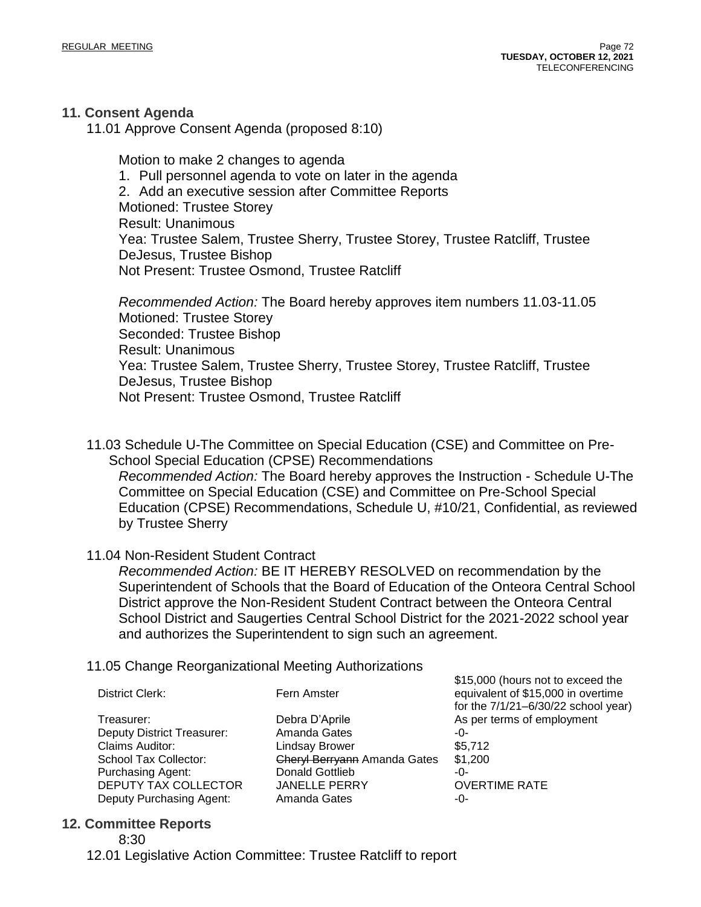## **11. Consent Agenda**

11.01 Approve Consent Agenda (proposed 8:10)

Motion to make 2 changes to agenda 1. Pull personnel agenda to vote on later in the agenda 2. Add an executive session after Committee Reports Motioned: Trustee Storey Result: Unanimous Yea: Trustee Salem, Trustee Sherry, Trustee Storey, Trustee Ratcliff, Trustee DeJesus, Trustee Bishop Not Present: Trustee Osmond, Trustee Ratcliff

*Recommended Action:* The Board hereby approves item numbers 11.03-11.05 Motioned: Trustee Storey Seconded: Trustee Bishop Result: Unanimous Yea: Trustee Salem, Trustee Sherry, Trustee Storey, Trustee Ratcliff, Trustee DeJesus, Trustee Bishop Not Present: Trustee Osmond, Trustee Ratcliff

11.03 Schedule U-The Committee on Special Education (CSE) and Committee on Pre-School Special Education (CPSE) Recommendations *Recommended Action:* The Board hereby approves the Instruction - Schedule U-The Committee on Special Education (CSE) and Committee on Pre-School Special Education (CPSE) Recommendations, Schedule U, #10/21, Confidential, as reviewed by Trustee Sherry

## 11.04 Non-Resident Student Contract

*Recommended Action:* BE IT HEREBY RESOLVED on recommendation by the Superintendent of Schools that the Board of Education of the Onteora Central School District approve the Non-Resident Student Contract between the Onteora Central School District and Saugerties Central School District for the 2021-2022 school year and authorizes the Superintendent to sign such an agreement.

## 11.05 Change Reorganizational Meeting Authorizations

|                                   |                                     | \$15,000 (hours not to exceed the   |
|-----------------------------------|-------------------------------------|-------------------------------------|
| District Clerk:                   | Fern Amster                         | equivalent of \$15,000 in overtime  |
|                                   |                                     | for the 7/1/21-6/30/22 school year) |
| Treasurer:                        | Debra D'Aprile                      | As per terms of employment          |
| <b>Deputy District Treasurer:</b> | Amanda Gates                        | -0-                                 |
| Claims Auditor:                   | <b>Lindsay Brower</b>               | \$5,712                             |
| School Tax Collector:             | <b>Cheryl Berryann Amanda Gates</b> | \$1,200                             |
| <b>Purchasing Agent:</b>          | Donald Gottlieb                     | -0-                                 |
| DEPUTY TAX COLLECTOR              | <b>JANELLE PERRY</b>                | <b>OVERTIME RATE</b>                |
| Deputy Purchasing Agent:          | Amanda Gates                        | -0-                                 |
|                                   |                                     |                                     |

### **12. Committee Reports**

12.01 Legislative Action Committee: Trustee Ratcliff to report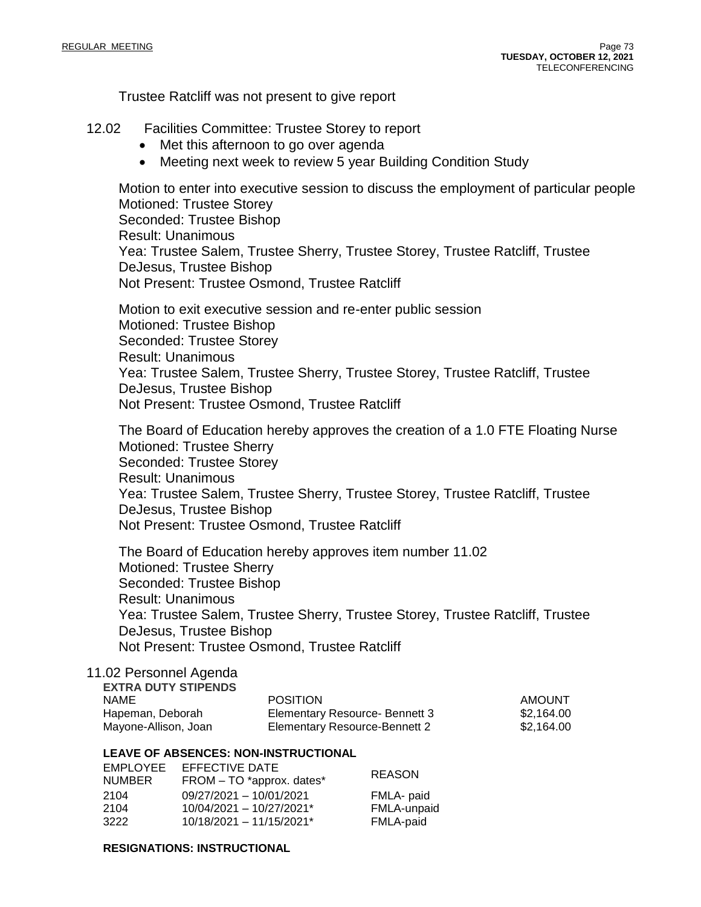Trustee Ratcliff was not present to give report

#### 12.02 Facilities Committee: Trustee Storey to report

- Met this afternoon to go over agenda
- Meeting next week to review 5 year Building Condition Study

Motion to enter into executive session to discuss the employment of particular people Motioned: Trustee Storey Seconded: Trustee Bishop Result: Unanimous Yea: Trustee Salem, Trustee Sherry, Trustee Storey, Trustee Ratcliff, Trustee DeJesus, Trustee Bishop Not Present: Trustee Osmond, Trustee Ratcliff

Motion to exit executive session and re-enter public session Motioned: Trustee Bishop Seconded: Trustee Storey Result: Unanimous Yea: Trustee Salem, Trustee Sherry, Trustee Storey, Trustee Ratcliff, Trustee DeJesus, Trustee Bishop Not Present: Trustee Osmond, Trustee Ratcliff

The Board of Education hereby approves the creation of a 1.0 FTE Floating Nurse Motioned: Trustee Sherry Seconded: Trustee Storey Result: Unanimous Yea: Trustee Salem, Trustee Sherry, Trustee Storey, Trustee Ratcliff, Trustee DeJesus, Trustee Bishop Not Present: Trustee Osmond, Trustee Ratcliff

The Board of Education hereby approves item number 11.02 Motioned: Trustee Sherry Seconded: Trustee Bishop Result: Unanimous Yea: Trustee Salem, Trustee Sherry, Trustee Storey, Trustee Ratcliff, Trustee DeJesus, Trustee Bishop Not Present: Trustee Osmond, Trustee Ratcliff

#### 11.02 Personnel Agenda **EXTRA DUTY STIPENDS**

| <b>POSITION</b>                | AMOUNT     |
|--------------------------------|------------|
| Elementary Resource- Bennett 3 | \$2.164.00 |
| Elementary Resource-Bennett 2  | \$2.164.00 |
|                                |            |

#### **LEAVE OF ABSENCES: NON-INSTRUCTIONAL**

| EFFECTIVE DATE<br>FROM - TO *approx. dates* | <b>REASON</b> |
|---------------------------------------------|---------------|
| 09/27/2021 - 10/01/2021                     | FMLA- paid    |
| $10/04/2021 - 10/27/2021$ *                 | FMLA-unpaid   |
| $10/18/2021 - 11/15/2021$ <sup>*</sup>      | FMLA-paid     |
|                                             |               |

#### **RESIGNATIONS: INSTRUCTIONAL**